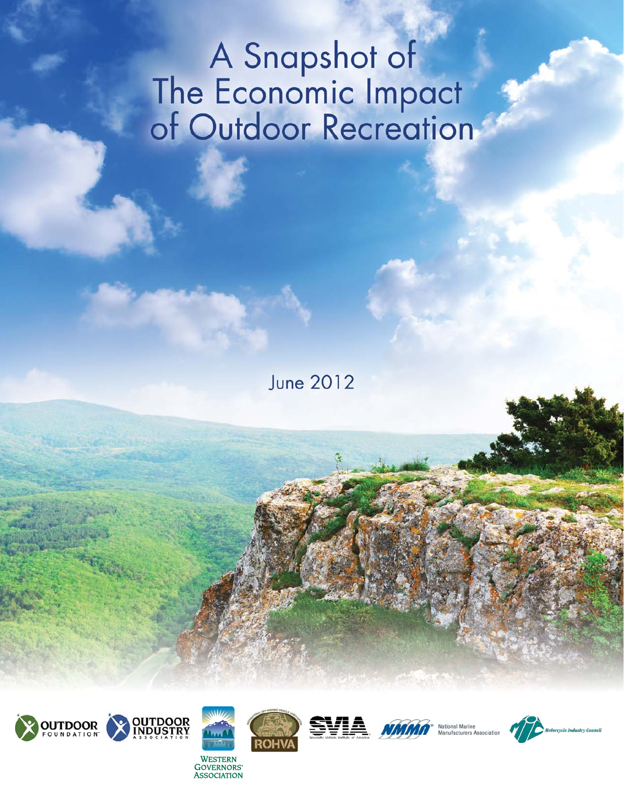# A Snapshot of<br>The Economic Impact<br>of Outdoor Recreation

**June 2012** 





**ASSOCIATION** 









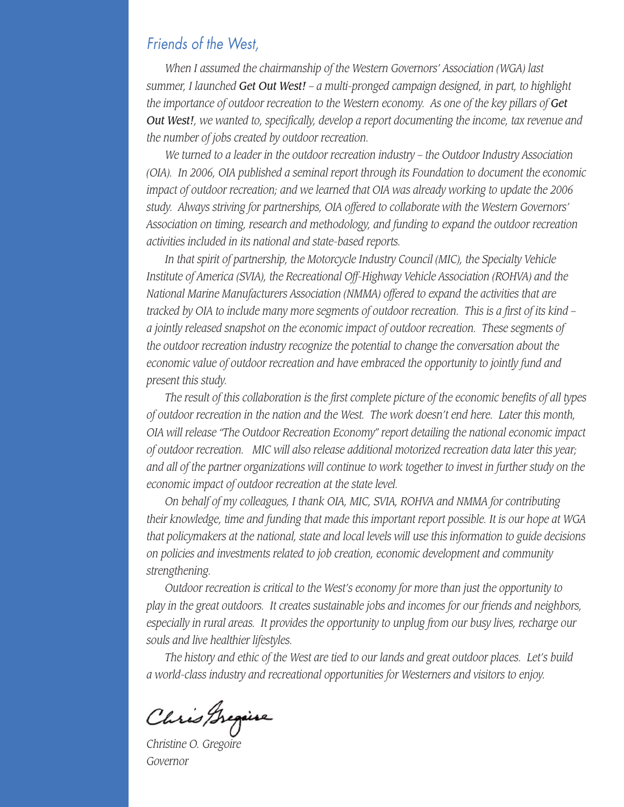#### Friends of the West,

*When I assumed the chairmanship of the Western Governors' Association (WGA) last summer, I launched Get Out West! – a multi-pronged campaign designed, in part, to highlight the importance of outdoor recreation to the Western economy. As one of the key pillars of Get Out West!, we wanted to, specifically, develop a report documenting the income, tax revenue and the number of jobs created by outdoor recreation.* 

*We turned to a leader in the outdoor recreation industry – the Outdoor Industry Association (OIA). In 2006, OIA published a seminal report through its Foundation to document the economic impact of outdoor recreation; and we learned that OIA was already working to update the 2006 study. Always striving for partnerships, OIA offered to collaborate with the Western Governors' Association on timing, research and methodology, and funding to expand the outdoor recreation activities included in its national and state-based reports.*

*In that spirit of partnership, the Motorcycle Industry Council (MIC), the Specialty Vehicle Institute of America (SVIA), the Recreational Off-Highway Vehicle Association (ROHVA) and the National Marine Manufacturers Association (NMMA) offered to expand the activities that are tracked by OIA to include many more segments of outdoor recreation. This is a first of its kind – a jointly released snapshot on the economic impact of outdoor recreation. These segments of the outdoor recreation industry recognize the potential to change the conversation about the economic value of outdoor recreation and have embraced the opportunity to jointly fund and present this study.* 

*The result of this collaboration is the first complete picture of the economic benefits of all types of outdoor recreation in the nation and the West. The work doesn't end here. Later this month, OIA will release "The Outdoor Recreation Economy" report detailing the national economic impact of outdoor recreation. MIC will also release additional motorized recreation data later this year; and all of the partner organizations will continue to work together to invest in further study on the economic impact of outdoor recreation at the state level.* 

*On behalf of my colleagues, I thank OIA, MIC, SVIA, ROHVA and NMMA for contributing their knowledge, time and funding that made this important report possible. It is our hope at WGA that policymakers at the national, state and local levels will use this information to guide decisions on policies and investments related to job creation, economic development and community strengthening.* 

*Outdoor recreation is critical to the West's economy for more than just the opportunity to play in the great outdoors. It creates sustainable jobs and incomes for our friends and neighbors, especially in rural areas. It provides the opportunity to unplug from our busy lives, recharge our souls and live healthier lifestyles.* 

*The history and ethic of the West are tied to our lands and great outdoor places. Let's build a world-class industry and recreational opportunities for Westerners and visitors to enjoy.* 

*Christine O. Gregoire*

*Governor*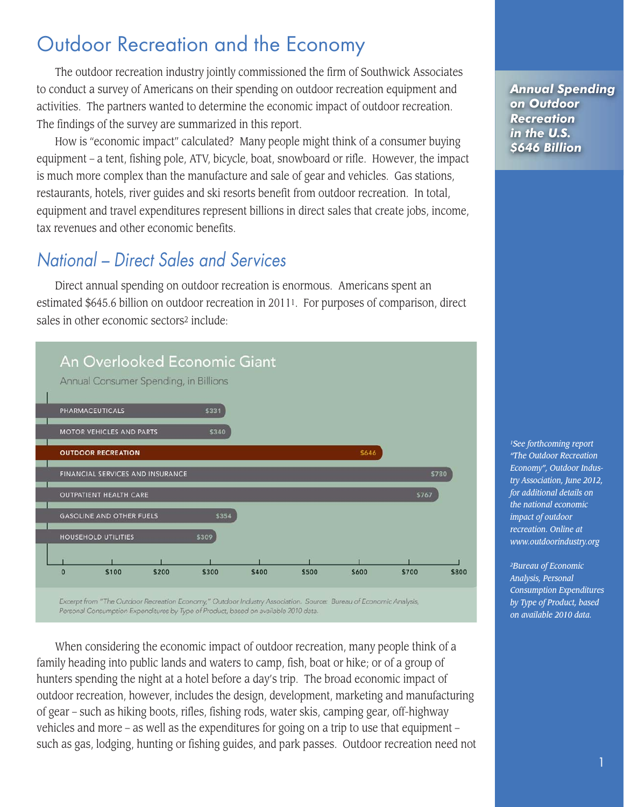# Outdoor Recreation and the Economy

The outdoor recreation industry jointly commissioned the firm of Southwick Associates to conduct a survey of Americans on their spending on outdoor recreation equipment and activities. The partners wanted to determine the economic impact of outdoor recreation. The findings of the survey are summarized in this report.

How is "economic impact" calculated? Many people might think of a consumer buying equipment – a tent, fishing pole, ATV, bicycle, boat, snowboard or rifle. However, the impact is much more complex than the manufacture and sale of gear and vehicles. Gas stations, restaurants, hotels, river guides and ski resorts benefit from outdoor recreation. In total, equipment and travel expenditures represent billions in direct sales that create jobs, income, tax revenues and other economic benefits.

## National – Direct Sales and Services

Direct annual spending on outdoor recreation is enormous. Americans spent an estimated \$645.6 billion on outdoor recreation in 20111. For purposes of comparison, direct sales in other economic sectors2 include:



Personal Consumption Expenditures by Type of Product, based on available 2010 data.

When considering the economic impact of outdoor recreation, many people think of a family heading into public lands and waters to camp, fish, boat or hike; or of a group of hunters spending the night at a hotel before a day's trip. The broad economic impact of outdoor recreation, however, includes the design, development, marketing and manufacturing of gear – such as hiking boots, rifles, fishing rods, water skis, camping gear, off-highway vehicles and more – as well as the expenditures for going on a trip to use that equipment – such as gas, lodging, hunting or fishing guides, and park passes. Outdoor recreation need not *Annual Spending on Outdoor Recreation in the U.S. \$646 Billion* 

*1See forthcoming report "The Outdoor Recreation Economy", Outdoor Industry Association, June 2012, for additional details on the national economic impact of outdoor recreation. Online at www.outdoorindustry.org*

*2Bureau of Economic Analysis, Personal Consumption Expenditures by Type of Product, based on available 2010 data.*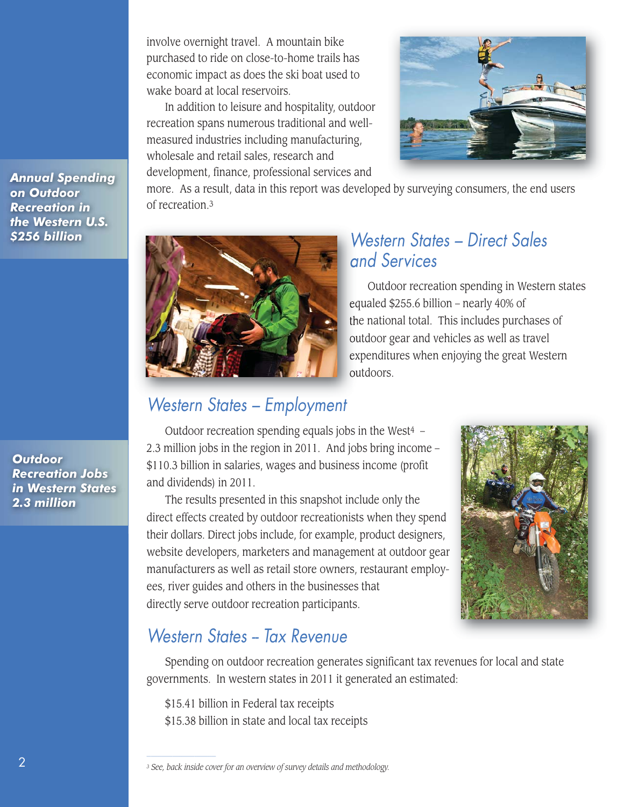involve overnight travel. A mountain bike purchased to ride on close-to-home trails has economic impact as does the ski boat used to wake board at local reservoirs.

In addition to leisure and hospitality, outdoor recreation spans numerous traditional and wellmeasured industries including manufacturing, wholesale and retail sales, research and development, finance, professional services and



*Annual Spending on Outdoor Recreation in the Western U.S. \$256 billion*

*Outdoor Recreation Jobs in Western States 2.3 million*

more. As a result, data in this report was developed by surveying consumers, the end users of recreation.3



## Western States – Direct Sales and Services

Outdoor recreation spending in Western states equaled \$255.6 billion – nearly 40% of the national total. This includes purchases of outdoor gear and vehicles as well as travel expenditures when enjoying the great Western outdoors.

## Western States – Employment

Outdoor recreation spending equals jobs in the West $4 -$ 2.3 million jobs in the region in 2011. And jobs bring income – \$110.3 billion in salaries, wages and business income (profit and dividends) in 2011.

The results presented in this snapshot include only the direct effects created by outdoor recreationists when they spend their dollars. Direct jobs include, for example, product designers, website developers, marketers and management at outdoor gear manufacturers as well as retail store owners, restaurant employees, river guides and others in the businesses that directly serve outdoor recreation participants.



## Western States -- Tax Revenue

Spending on outdoor recreation generates significant tax revenues for local and state governments. In western states in 2011 it generated an estimated:

\$15.41 billion in Federal tax receipts

\$15.38 billion in state and local tax receipts

*<sup>3</sup> See, back inside cover for an overview of survey details and methodology.*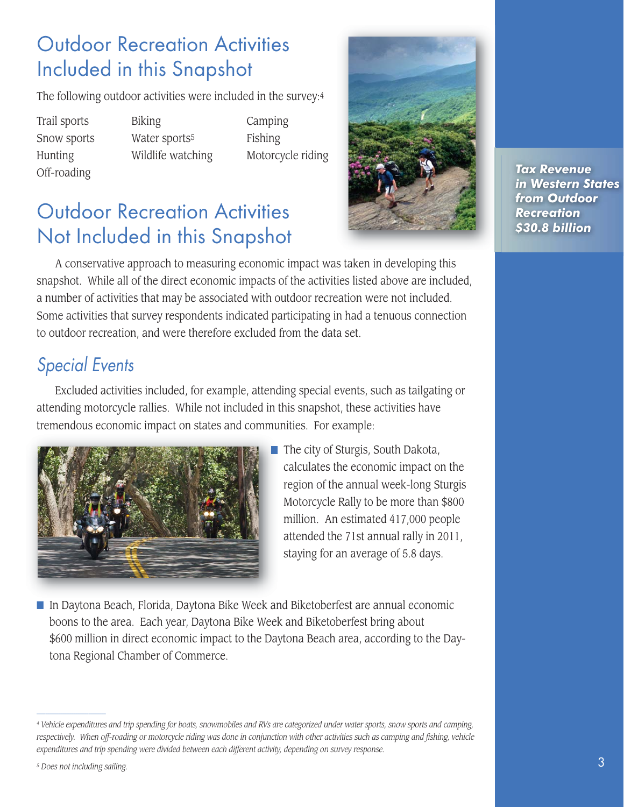## Outdoor Recreation Activities Included in this Snapshot

The following outdoor activities were included in the survey:4

Off-roading

Trail sports Biking Camping Snow sports Water sports<sup>5</sup> Fishing

Hunting Wildlife watching Motorcycle riding

# Outdoor Recreation Activities Not Included in this Snapshot



*Tax Revenue in Western States from Outdoor Recreation \$30.8 billion*

A conservative approach to measuring economic impact was taken in developing this snapshot. While all of the direct economic impacts of the activities listed above are included, a number of activities that may be associated with outdoor recreation were not included. Some activities that survey respondents indicated participating in had a tenuous connection to outdoor recreation, and were therefore excluded from the data set.

## Special Events

Excluded activities included, for example, attending special events, such as tailgating or attending motorcycle rallies. While not included in this snapshot, these activities have tremendous economic impact on states and communities. For example:



■ The city of Sturgis, South Dakota, calculates the economic impact on the region of the annual week-long Sturgis Motorcycle Rally to be more than \$800 million. An estimated 417,000 people attended the 71st annual rally in 2011, staying for an average of 5.8 days.

■ In Daytona Beach, Florida, Daytona Bike Week and Biketoberfest are annual economic boons to the area. Each year, Daytona Bike Week and Biketoberfest bring about \$600 million in direct economic impact to the Daytona Beach area, according to the Daytona Regional Chamber of Commerce.

*<sup>4</sup> Vehicle expenditures and trip spending for boats, snowmobiles and RVs are categorized under water sports, snow sports and camping, respectively. When off-roading or motorcycle riding was done in conjunction with other activities such as camping and fishing, vehicle expenditures and trip spending were divided between each different activity, depending on survey response.*

*<sup>5</sup> Does not including sailing.*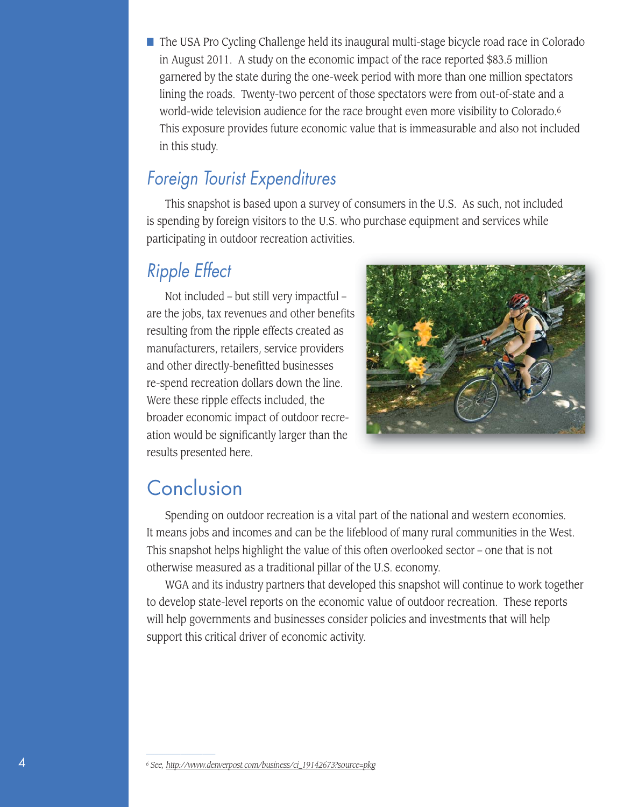■ The USA Pro Cycling Challenge held its inaugural multi-stage bicycle road race in Colorado in August 2011. A study on the economic impact of the race reported \$83.5 million garnered by the state during the one-week period with more than one million spectators lining the roads. Twenty-two percent of those spectators were from out-of-state and a world-wide television audience for the race brought even more visibility to Colorado.6 This exposure provides future economic value that is immeasurable and also not included in this study.

## Foreign Tourist Expenditures

This snapshot is based upon a survey of consumers in the U.S. As such, not included is spending by foreign visitors to the U.S. who purchase equipment and services while participating in outdoor recreation activities.

## Ripple Effect

Not included – but still very impactful – are the jobs, tax revenues and other benefits resulting from the ripple effects created as manufacturers, retailers, service providers and other directly-benefitted businesses re-spend recreation dollars down the line. Were these ripple effects included, the broader economic impact of outdoor recreation would be significantly larger than the results presented here.



## Conclusion

Spending on outdoor recreation is a vital part of the national and western economies. It means jobs and incomes and can be the lifeblood of many rural communities in the West. This snapshot helps highlight the value of this often overlooked sector – one that is not otherwise measured as a traditional pillar of the U.S. economy.

WGA and its industry partners that developed this snapshot will continue to work together to develop state-level reports on the economic value of outdoor recreation. These reports will help governments and businesses consider policies and investments that will help support this critical driver of economic activity.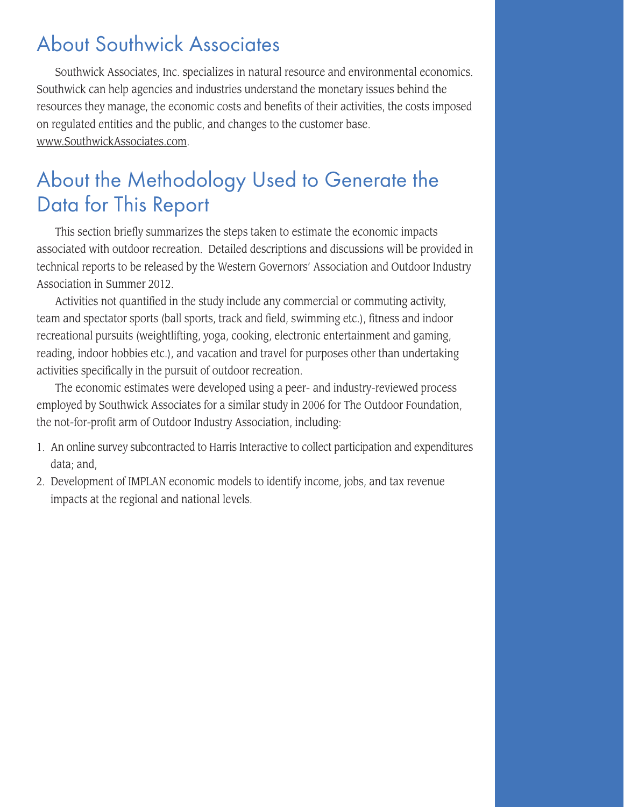# About Southwick Associates

Southwick Associates, Inc. specializes in natural resource and environmental economics. Southwick can help agencies and industries understand the monetary issues behind the resources they manage, the economic costs and benefits of their activities, the costs imposed on regulated entities and the public, and changes to the customer base. www.SouthwickAssociates.com.

# About the Methodology Used to Generate the Data for This Report

This section briefly summarizes the steps taken to estimate the economic impacts associated with outdoor recreation. Detailed descriptions and discussions will be provided in technical reports to be released by the Western Governors' Association and Outdoor Industry Association in Summer 2012.

Activities not quantified in the study include any commercial or commuting activity, team and spectator sports (ball sports, track and field, swimming etc.), fitness and indoor recreational pursuits (weightlifting, yoga, cooking, electronic entertainment and gaming, reading, indoor hobbies etc.), and vacation and travel for purposes other than undertaking activities specifically in the pursuit of outdoor recreation.

The economic estimates were developed using a peer- and industry-reviewed process employed by Southwick Associates for a similar study in 2006 for The Outdoor Foundation, the not-for-profit arm of Outdoor Industry Association, including:

- 1. An online survey subcontracted to Harris Interactive to collect participation and expenditures data; and,
- 2. Development of IMPLAN economic models to identify income, jobs, and tax revenue impacts at the regional and national levels.